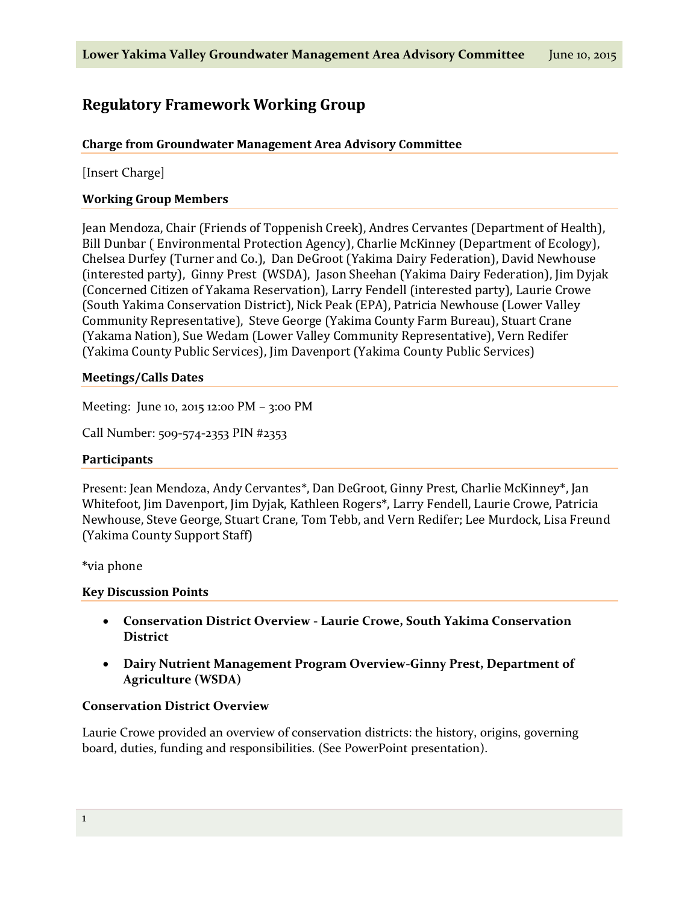# **Regulatory Framework Working Group**

## **Charge from Groundwater Management Area Advisory Committee**

[Insert Charge]

## **Working Group Members**

Jean Mendoza, Chair (Friends of Toppenish Creek), Andres Cervantes (Department of Health), Bill Dunbar ( Environmental Protection Agency), Charlie McKinney (Department of Ecology), Chelsea Durfey (Turner and Co.), Dan DeGroot (Yakima Dairy Federation), David Newhouse (interested party), Ginny Prest (WSDA), Jason Sheehan (Yakima Dairy Federation), Jim Dyjak (Concerned Citizen of Yakama Reservation), Larry Fendell (interested party), Laurie Crowe (South Yakima Conservation District), Nick Peak (EPA), Patricia Newhouse (Lower Valley Community Representative), Steve George (Yakima County Farm Bureau), Stuart Crane (Yakama Nation), Sue Wedam (Lower Valley Community Representative), Vern Redifer (Yakima County Public Services), Jim Davenport (Yakima County Public Services)

#### **Meetings/Calls Dates**

Meeting: June 10, 2015 12:00 PM – 3:00 PM

Call Number: 509-574-2353 PIN #2353

#### **Participants**

Present: Jean Mendoza, Andy Cervantes\*, Dan DeGroot, Ginny Prest, Charlie McKinney\*, Jan Whitefoot, Jim Davenport, Jim Dyjak, Kathleen Rogers\*, Larry Fendell, Laurie Crowe, Patricia Newhouse, Steve George, Stuart Crane, Tom Tebb, and Vern Redifer; Lee Murdock, Lisa Freund (Yakima County Support Staff)

\*via phone

#### **Key Discussion Points**

- **Conservation District Overview - Laurie Crowe, South Yakima Conservation District**
- **Dairy Nutrient Management Program Overview-Ginny Prest, Department of Agriculture (WSDA)**

## **Conservation District Overview**

Laurie Crowe provided an overview of conservation districts: the history, origins, governing board, duties, funding and responsibilities. (See PowerPoint presentation).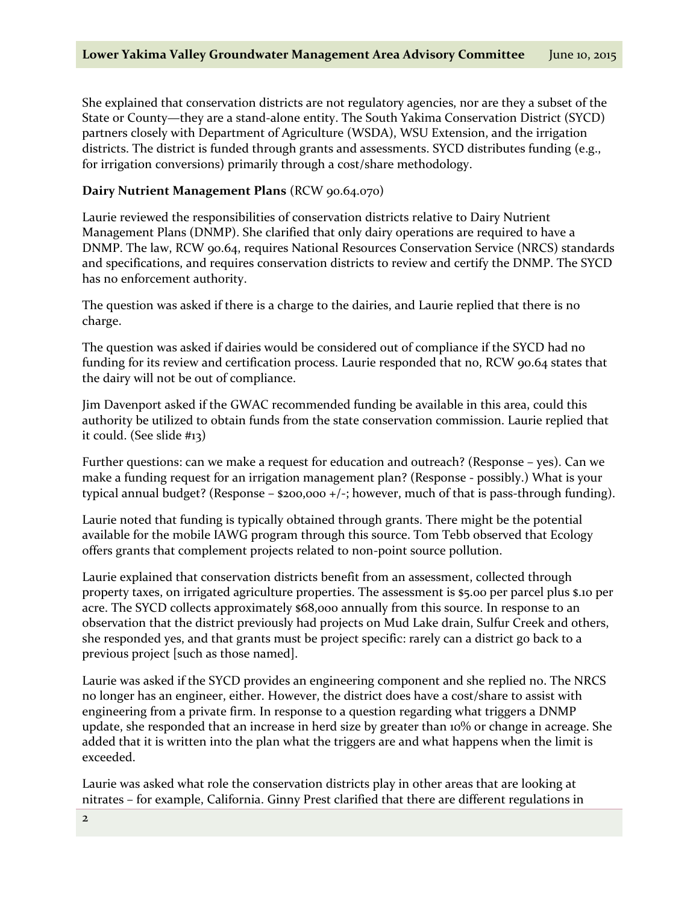She explained that conservation districts are not regulatory agencies, nor are they a subset of the State or County—they are a stand-alone entity. The South Yakima Conservation District (SYCD) partners closely with Department of Agriculture (WSDA), WSU Extension, and the irrigation districts. The district is funded through grants and assessments. SYCD distributes funding (e.g., for irrigation conversions) primarily through a cost/share methodology.

## **Dairy Nutrient Management Plans** (RCW 90.64.070)

Laurie reviewed the responsibilities of conservation districts relative to Dairy Nutrient Management Plans (DNMP). She clarified that only dairy operations are required to have a DNMP. The law, RCW 90.64, requires National Resources Conservation Service (NRCS) standards and specifications, and requires conservation districts to review and certify the DNMP. The SYCD has no enforcement authority.

The question was asked if there is a charge to the dairies, and Laurie replied that there is no charge.

The question was asked if dairies would be considered out of compliance if the SYCD had no funding for its review and certification process. Laurie responded that no, RCW 90.64 states that the dairy will not be out of compliance.

Jim Davenport asked if the GWAC recommended funding be available in this area, could this authority be utilized to obtain funds from the state conservation commission. Laurie replied that it could. (See slide #13)

Further questions: can we make a request for education and outreach? (Response – yes). Can we make a funding request for an irrigation management plan? (Response - possibly.) What is your typical annual budget? (Response – \$200,000 +/-; however, much of that is pass-through funding).

Laurie noted that funding is typically obtained through grants. There might be the potential available for the mobile IAWG program through this source. Tom Tebb observed that Ecology offers grants that complement projects related to non-point source pollution.

Laurie explained that conservation districts benefit from an assessment, collected through property taxes, on irrigated agriculture properties. The assessment is \$5.00 per parcel plus \$.10 per acre. The SYCD collects approximately \$68,000 annually from this source. In response to an observation that the district previously had projects on Mud Lake drain, Sulfur Creek and others, she responded yes, and that grants must be project specific: rarely can a district go back to a previous project [such as those named].

Laurie was asked if the SYCD provides an engineering component and she replied no. The NRCS no longer has an engineer, either. However, the district does have a cost/share to assist with engineering from a private firm. In response to a question regarding what triggers a DNMP update, she responded that an increase in herd size by greater than 10% or change in acreage. She added that it is written into the plan what the triggers are and what happens when the limit is exceeded.

Laurie was asked what role the conservation districts play in other areas that are looking at nitrates – for example, California. Ginny Prest clarified that there are different regulations in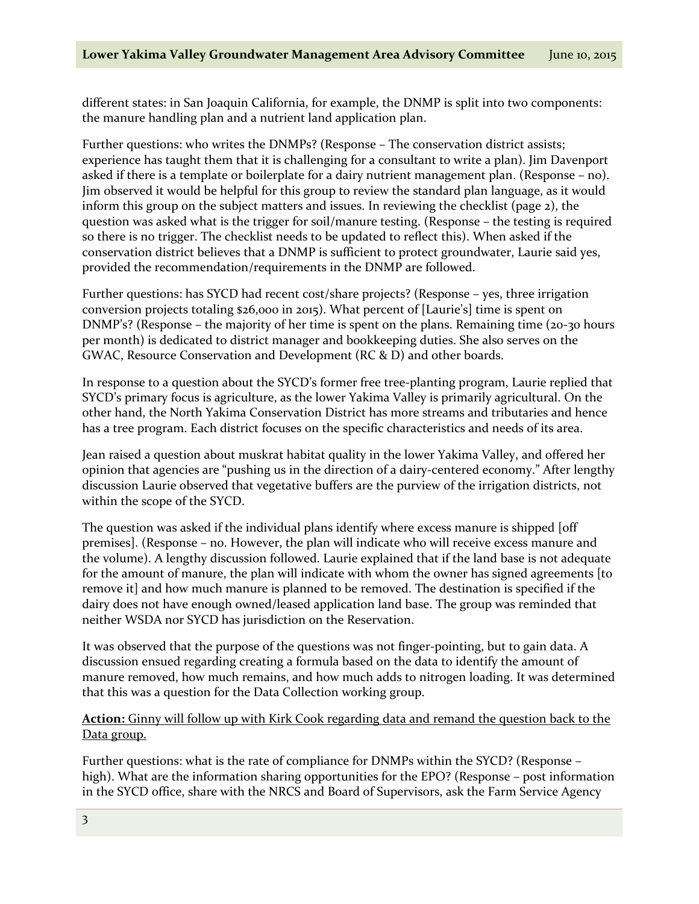different states: in San Joaquin California, for example, the DNMP is split into two components: the manure handling plan and a nutrient land application plan.

Further questions: who writes the DNMPs? (Response – The conservation district assists; experience has taught them that it is challenging for a consultant to write a plan). Jim Davenport asked if there is a template or boilerplate for a dairy nutrient management plan. (Response – no). Jim observed it would be helpful for this group to review the standard plan language, as it would inform this group on the subject matters and issues. In reviewing the checklist (page 2), the question was asked what is the trigger for soil/manure testing. (Response – the testing is required so there is no trigger. The checklist needs to be updated to reflect this). When asked if the conservation district believes that a DNMP is sufficient to protect groundwater, Laurie said yes, provided the recommendation/requirements in the DNMP are followed.

Further questions: has SYCD had recent cost/share projects? (Response – yes, three irrigation conversion projects totaling \$26,000 in 2015). What percent of [Laurie's] time is spent on DNMP's? (Response – the majority of her time is spent on the plans. Remaining time (20-30 hours per month) is dedicated to district manager and bookkeeping duties. She also serves on the GWAC, Resource Conservation and Development (RC & D) and other boards.

In response to a question about the SYCD's former free tree-planting program, Laurie replied that SYCD's primary focus is agriculture, as the lower Yakima Valley is primarily agricultural. On the other hand, the North Yakima Conservation District has more streams and tributaries and hence has a tree program. Each district focuses on the specific characteristics and needs of its area.

Jean raised a question about muskrat habitat quality in the lower Yakima Valley, and offered her opinion that agencies are "pushing us in the direction of a dairy-centered economy." After lengthy discussion Laurie observed that vegetative buffers are the purview of the irrigation districts, not within the scope of the SYCD.

The question was asked if the individual plans identify where excess manure is shipped [off premises]. (Response – no. However, the plan will indicate who will receive excess manure and the volume). A lengthy discussion followed. Laurie explained that if the land base is not adequate for the amount of manure, the plan will indicate with whom the owner has signed agreements [to remove it] and how much manure is planned to be removed. The destination is specified if the dairy does not have enough owned/leased application land base. The group was reminded that neither WSDA nor SYCD has jurisdiction on the Reservation.

It was observed that the purpose of the questions was not finger-pointing, but to gain data. A discussion ensued regarding creating a formula based on the data to identify the amount of manure removed, how much remains, and how much adds to nitrogen loading. It was determined that this was a question for the Data Collection working group.

## **Action:** Ginny will follow up with Kirk Cook regarding data and remand the question back to the Data group.

Further questions: what is the rate of compliance for DNMPs within the SYCD? (Response – high). What are the information sharing opportunities for the EPO? (Response – post information in the SYCD office, share with the NRCS and Board of Supervisors, ask the Farm Service Agency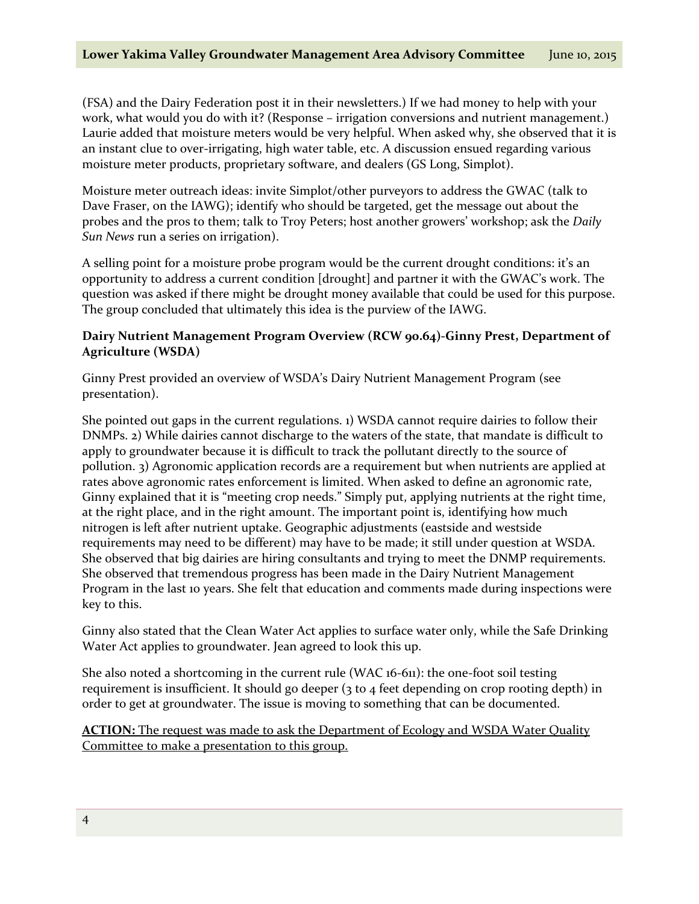(FSA) and the Dairy Federation post it in their newsletters.) If we had money to help with your work, what would you do with it? (Response – irrigation conversions and nutrient management.) Laurie added that moisture meters would be very helpful. When asked why, she observed that it is an instant clue to over-irrigating, high water table, etc. A discussion ensued regarding various moisture meter products, proprietary software, and dealers (GS Long, Simplot).

Moisture meter outreach ideas: invite Simplot/other purveyors to address the GWAC (talk to Dave Fraser, on the IAWG); identify who should be targeted, get the message out about the probes and the pros to them; talk to Troy Peters; host another growers' workshop; ask the *Daily Sun News* run a series on irrigation).

A selling point for a moisture probe program would be the current drought conditions: it's an opportunity to address a current condition [drought] and partner it with the GWAC's work. The question was asked if there might be drought money available that could be used for this purpose. The group concluded that ultimately this idea is the purview of the IAWG.

# **Dairy Nutrient Management Program Overview (RCW 90.64)-Ginny Prest, Department of Agriculture (WSDA)**

Ginny Prest provided an overview of WSDA's Dairy Nutrient Management Program (see presentation).

She pointed out gaps in the current regulations. 1) WSDA cannot require dairies to follow their DNMPs. 2) While dairies cannot discharge to the waters of the state, that mandate is difficult to apply to groundwater because it is difficult to track the pollutant directly to the source of pollution. 3) Agronomic application records are a requirement but when nutrients are applied at rates above agronomic rates enforcement is limited. When asked to define an agronomic rate, Ginny explained that it is "meeting crop needs." Simply put, applying nutrients at the right time, at the right place, and in the right amount. The important point is, identifying how much nitrogen is left after nutrient uptake. Geographic adjustments (eastside and westside requirements may need to be different) may have to be made; it still under question at WSDA. She observed that big dairies are hiring consultants and trying to meet the DNMP requirements. She observed that tremendous progress has been made in the Dairy Nutrient Management Program in the last 10 years. She felt that education and comments made during inspections were key to this.

Ginny also stated that the Clean Water Act applies to surface water only, while the Safe Drinking Water Act applies to groundwater. Jean agreed to look this up.

She also noted a shortcoming in the current rule (WAC 16-611): the one-foot soil testing requirement is insufficient. It should go deeper (3 to 4 feet depending on crop rooting depth) in order to get at groundwater. The issue is moving to something that can be documented.

**ACTION:** The request was made to ask the Department of Ecology and WSDA Water Quality Committee to make a presentation to this group.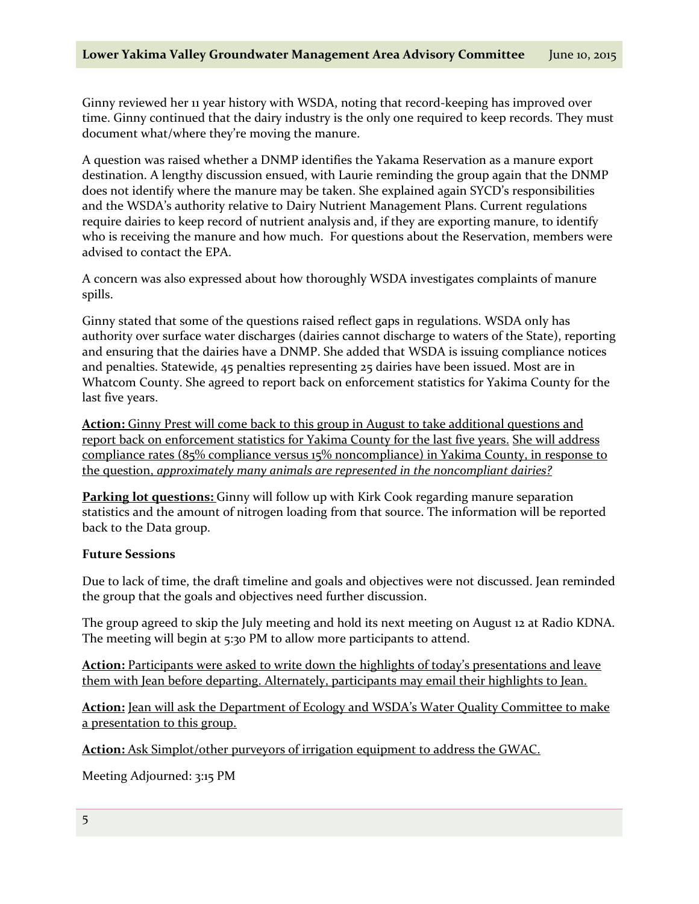Ginny reviewed her 11 year history with WSDA, noting that record-keeping has improved over time. Ginny continued that the dairy industry is the only one required to keep records. They must document what/where they're moving the manure.

A question was raised whether a DNMP identifies the Yakama Reservation as a manure export destination. A lengthy discussion ensued, with Laurie reminding the group again that the DNMP does not identify where the manure may be taken. She explained again SYCD's responsibilities and the WSDA's authority relative to Dairy Nutrient Management Plans. Current regulations require dairies to keep record of nutrient analysis and, if they are exporting manure, to identify who is receiving the manure and how much. For questions about the Reservation, members were advised to contact the EPA.

A concern was also expressed about how thoroughly WSDA investigates complaints of manure spills.

Ginny stated that some of the questions raised reflect gaps in regulations. WSDA only has authority over surface water discharges (dairies cannot discharge to waters of the State), reporting and ensuring that the dairies have a DNMP. She added that WSDA is issuing compliance notices and penalties. Statewide, 45 penalties representing 25 dairies have been issued. Most are in Whatcom County. She agreed to report back on enforcement statistics for Yakima County for the last five years.

**Action:** Ginny Prest will come back to this group in August to take additional questions and report back on enforcement statistics for Yakima County for the last five years. She will address compliance rates (85% compliance versus 15% noncompliance) in Yakima County, in response to the question, *approximately many animals are represented in the noncompliant dairies?*

**Parking lot questions:** Ginny will follow up with Kirk Cook regarding manure separation statistics and the amount of nitrogen loading from that source. The information will be reported back to the Data group.

#### **Future Sessions**

Due to lack of time, the draft timeline and goals and objectives were not discussed. Jean reminded the group that the goals and objectives need further discussion.

The group agreed to skip the July meeting and hold its next meeting on August 12 at Radio KDNA. The meeting will begin at 5:30 PM to allow more participants to attend.

Action: Participants were asked to write down the highlights of today's presentations and leave them with Jean before departing. Alternately, participants may email their highlights to Jean.

**Action:** Jean will ask the Department of Ecology and WSDA's Water Quality Committee to make a presentation to this group.

**Action:** Ask Simplot/other purveyors of irrigation equipment to address the GWAC.

Meeting Adjourned: 3:15 PM